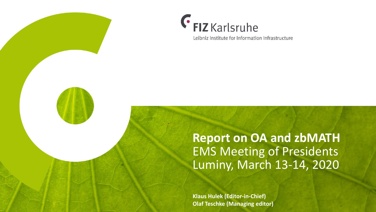



Leibniz Institute for Information Infrastructure

## **Report on OA and zbMATH** EMS Meeting of Presidents Luminy, March 13-14, 2020

**Klaus Hulek (Editor-in-Chief) Olaf Teschke (Managing editor)**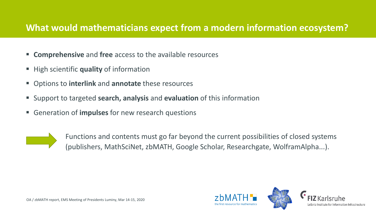#### **What would mathematicians expect from a modern information ecosystem?**

- **Comprehensive** and **free** access to the available resources
- **High scientific quality of information**
- Options to **interlink** and **annotate** these resources
- Support to targeted **search, analysis** and **evaluation** of this information
- Generation of **impulses** for new research questions



Functions and contents must go far beyond the current possibilities of closed systems (publishers, MathSciNet, zbMATH, Google Scholar, Researchgate, WolframAlpha...).

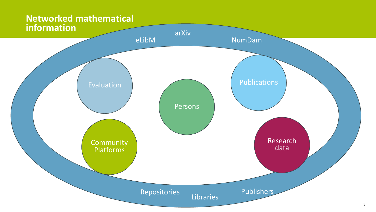# **Networked mathematical**

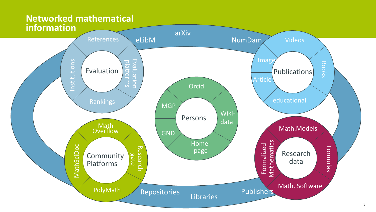## **Networked mathematical**

![](_page_3_Figure_1.jpeg)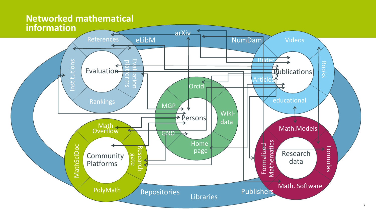#### **Networked mathematical information**

![](_page_4_Figure_1.jpeg)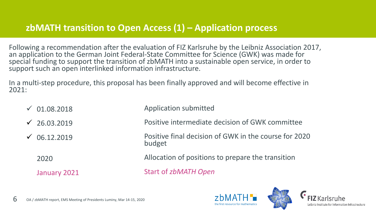#### **zbMATH transition to Open Access (1) – Application process**

Following a recommendation after the evaluation of FIZ Karlsruhe by the Leibniz Association 2017, an application to the German Joint Federal-State Committee for Science (GWK) was made for special funding to support the transition of zbMATH into a sustainable open service, in order to support such an open interlinked information infrastructure.

In a multi-step procedure, this proposal has been finally approved and will become effective in 2021:

 $\sqrt{01.08.2018}$ Application submitted

 $\sqrt{26.03.2019}$ Positive intermediate decision of GWK committee

> Positive final decision of GWK in the course for 2020 budget

2020

 $\sqrt{06.12.2019}$ 

January 2021

Allocation of positions to prepare the transition

Start of *zbMATH Open*

![](_page_5_Picture_10.jpeg)

![](_page_5_Picture_11.jpeg)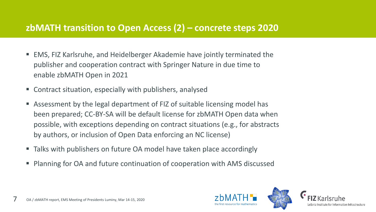#### **zbMATH transition to Open Access (2) – concrete steps 2020**

- EMS, FIZ Karlsruhe, and Heidelberger Akademie have jointly terminated the publisher and cooperation contract with Springer Nature in due time to enable zbMATH Open in 2021
- Contract situation, especially with publishers, analysed
- Assessment by the legal department of FIZ of suitable licensing model has been prepared; CC-BY-SA will be default license for zbMATH Open data when possible, with exceptions depending on contract situations (e.g., for abstracts by authors, or inclusion of Open Data enforcing an NC license)
- Talks with publishers on future OA model have taken place accordingly
- Planning for OA and future continuation of cooperation with AMS discussed

![](_page_6_Picture_6.jpeg)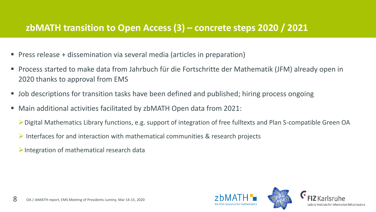#### **zbMATH transition to Open Access (3) – concrete steps 2020 / 2021**

- Press release + dissemination via several media (articles in preparation)
- Process started to make data from Jahrbuch für die Fortschritte der Mathematik (JFM) already open in 2020 thanks to approval from EMS
- Job descriptions for transition tasks have been defined and published; hiring process ongoing
- Main additional activities facilitated by zbMATH Open data from 2021:
	- Digital Mathematics Library functions, e.g. support of integration of free fulltexts and Plan S-compatible Green OA
	- $\triangleright$  Interfaces for and interaction with mathematical communities & research projects
	- $\triangleright$  Integration of mathematical research data

![](_page_7_Picture_8.jpeg)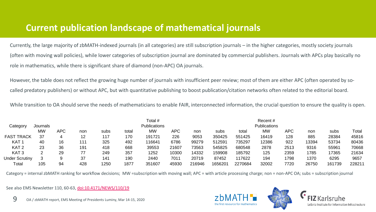### **Current publication landscape of mathematical journals**

Currently, the large majority of zbMATH-indexed journals (in all categories) are still subscription journals – in the higher categories, mostly society journals (often with moving wall policies), while lower categories of subscription journal are dominated by commercial publishers. Journals with APCs play basically no role in mathematics, while there is significant share of diamond (non-APC) OA journals.

However, the table does not reflect the growing huge number of journals with insufficient peer review; most of them are either APC (often operated by socalled predatory publishers) or without APC, but with quantitative publishing to boost publication/citation networks often related to the editorial board.

While transition to OA should serve the needs of mathematicians to enable FAIR, interconnected information, the crucial question to ensure the quality is open.

| Category              | Journals  |     |     |      | Total #<br><b>Publications</b> |                   |       |        |        | Recent#<br><b>Publications</b> |           |            |       |        |        |
|-----------------------|-----------|-----|-----|------|--------------------------------|-------------------|-------|--------|--------|--------------------------------|-----------|------------|-------|--------|--------|
|                       | <b>MW</b> | APC | non | subs | total                          | <b>MW</b>         | APC.  | non    | subs   | total                          | <b>MW</b> | <b>APC</b> | non   | subs   | Total  |
| <b>FAST TRACK</b>     | 37        |     | 12  | 117  | 170                            | 191721            | 226   | 9053   | 350425 | 551425                         | 16419     | 128        | 885   | 28384  | 45816  |
| KAT 1                 | 40        | 16  | 111 | 325  | 492                            | 11664 $^{\prime}$ | 6786  | 99279  | 512591 | 735297                         | 12386     | 922        | 13394 | 53734  | 80436  |
| KAT <sub>2</sub>      | 23        | 36  | 191 | 418  | 668                            | 39553             | 21607 | 73563  | 545825 | 680548                         | 2878      | 2513       | 9316  | 55961  | 70668  |
| KAT <sub>3</sub>      |           | 29  | 77  | 249  | 357                            | 1252              | 10300 | 14332  | 159908 | 185792                         | 125       | 2359       | 1785  | 17365  | 21634  |
| <b>Under Scrutiny</b> |           | 9   | 37  | 141  | 190                            | 2440              | 7011  | 20719  | 87452  | 117622                         | 194       | 1798       | 1370  | 6295   | 9657   |
| Total                 | 105       | 94  | 428 | 1250 | 1877                           | 351607            | 45930 | 216946 | 165620 | 2270684                        | 32002     | 7720       | 26750 | 161739 | 228211 |

Category = internal zbMATH ranking for workflow decisions; MW =subscription with moving wall; APC = with article processing charge; non = non-APC OA; subs = subscription journal

See also EMS Newsletter 110, 60-63, [doi:10.4171/NEWS/110/19](https://doi.org/10.4171/NEWS/110/19)

![](_page_8_Picture_7.jpeg)

![](_page_8_Picture_8.jpeg)